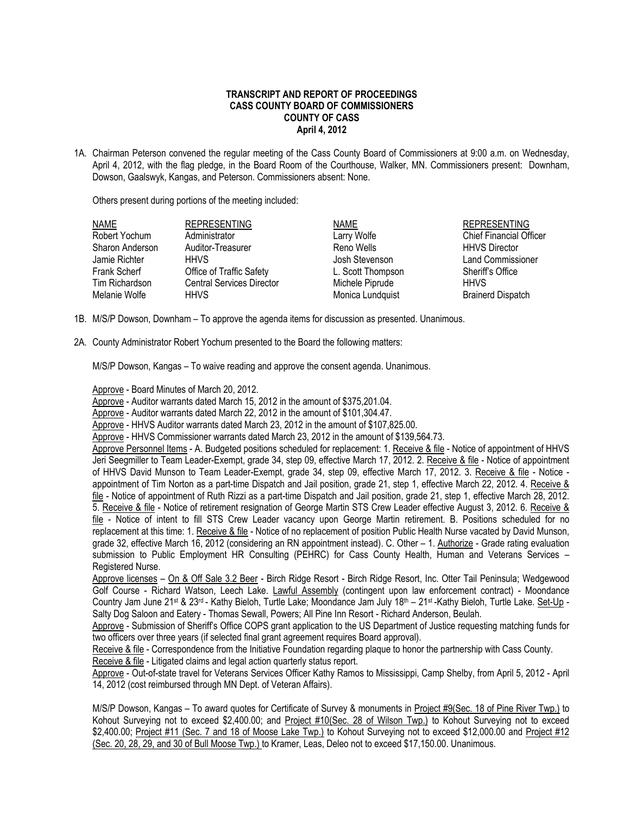# **TRANSCRIPT AND REPORT OF PROCEEDINGS CASS COUNTY BOARD OF COMMISSIONERS COUNTY OF CASS April 4, 2012**

1A. Chairman Peterson convened the regular meeting of the Cass County Board of Commissioners at 9:00 a.m. on Wednesday, April 4, 2012, with the flag pledge, in the Board Room of the Courthouse, Walker, MN. Commissioners present: Downham, Dowson, Gaalswyk, Kangas, and Peterson. Commissioners absent: None.

Others present during portions of the meeting included:

| <b>NAME</b>     | <b>REPRESENTING</b>              | <b>NAME</b>       | <b>REPRESENTING</b>            |
|-----------------|----------------------------------|-------------------|--------------------------------|
| Robert Yochum   | Administrator                    | Larry Wolfe       | <b>Chief Financial Officer</b> |
| Sharon Anderson | Auditor-Treasurer                | Reno Wells        | <b>HHVS Director</b>           |
| Jamie Richter   | <b>HHVS</b>                      | Josh Stevenson    | <b>Land Commissioner</b>       |
| Frank Scherf    | Office of Traffic Safety         | L. Scott Thompson | Sheriff's Office               |
| Tim Richardson  | <b>Central Services Director</b> | Michele Piprude   | <b>HHVS</b>                    |
| Melanie Wolfe   | <b>HHVS</b>                      | Monica Lundquist  | <b>Brainerd Dispatch</b>       |

- 1B. M/S/P Dowson, Downham To approve the agenda items for discussion as presented. Unanimous.
- 2A. County Administrator Robert Yochum presented to the Board the following matters:

M/S/P Dowson, Kangas – To waive reading and approve the consent agenda. Unanimous.

Approve - Board Minutes of March 20, 2012.

Approve - Auditor warrants dated March 15, 2012 in the amount of \$375,201.04.

Approve - Auditor warrants dated March 22, 2012 in the amount of \$101,304.47.

Approve - HHVS Auditor warrants dated March 23, 2012 in the amount of \$107,825.00.

Approve - HHVS Commissioner warrants dated March 23, 2012 in the amount of \$139,564.73.

Approve Personnel Items - A. Budgeted positions scheduled for replacement: 1. Receive & file - Notice of appointment of HHVS Jeri Seegmiller to Team Leader-Exempt, grade 34, step 09, effective March 17, 2012. 2. Receive & file - Notice of appointment of HHVS David Munson to Team Leader-Exempt, grade 34, step 09, effective March 17, 2012. 3. Receive & file - Notice appointment of Tim Norton as a part-time Dispatch and Jail position, grade 21, step 1, effective March 22, 2012. 4. Receive & file - Notice of appointment of Ruth Rizzi as a part-time Dispatch and Jail position, grade 21, step 1, effective March 28, 2012. 5. Receive & file - Notice of retirement resignation of George Martin STS Crew Leader effective August 3, 2012. 6. Receive & file - Notice of intent to fill STS Crew Leader vacancy upon George Martin retirement. B. Positions scheduled for no replacement at this time: 1. Receive & file - Notice of no replacement of position Public Health Nurse vacated by David Munson, grade 32, effective March 16, 2012 (considering an RN appointment instead). C. Other – 1. Authorize - Grade rating evaluation submission to Public Employment HR Consulting (PEHRC) for Cass County Health, Human and Veterans Services – Registered Nurse.

Approve licenses – On & Off Sale 3.2 Beer - Birch Ridge Resort - Birch Ridge Resort, Inc. Otter Tail Peninsula; Wedgewood Golf Course - Richard Watson, Leech Lake. Lawful Assembly (contingent upon law enforcement contract) - Moondance Country Jam June 21st & 23<sup>rd</sup> - Kathy Bieloh, Turtle Lake; Moondance Jam July 18<sup>th</sup> – 21st -Kathy Bieloh, Turtle Lake. Set-Up -Salty Dog Saloon and Eatery - Thomas Sewall, Powers; All Pine Inn Resort - Richard Anderson, Beulah.

Approve - Submission of Sheriff's Office COPS grant application to the US Department of Justice requesting matching funds for two officers over three years (if selected final grant agreement requires Board approval).

Receive & file - Correspondence from the Initiative Foundation regarding plaque to honor the partnership with Cass County. Receive & file - Litigated claims and legal action quarterly status report.

Approve - Out-of-state travel for Veterans Services Officer Kathy Ramos to Mississippi, Camp Shelby, from April 5, 2012 - April 14, 2012 (cost reimbursed through MN Dept. of Veteran Affairs).

M/S/P Dowson, Kangas – To award quotes for Certificate of Survey & monuments in Project #9(Sec. 18 of Pine River Twp.) to Kohout Surveying not to exceed \$2,400.00; and Project #10(Sec. 28 of Wilson Twp.) to Kohout Surveying not to exceed \$2,400.00; Project #11 (Sec. 7 and 18 of Moose Lake Twp.) to Kohout Surveying not to exceed \$12,000.00 and Project #12 (Sec. 20, 28, 29, and 30 of Bull Moose Twp.) to Kramer, Leas, Deleo not to exceed \$17,150.00. Unanimous.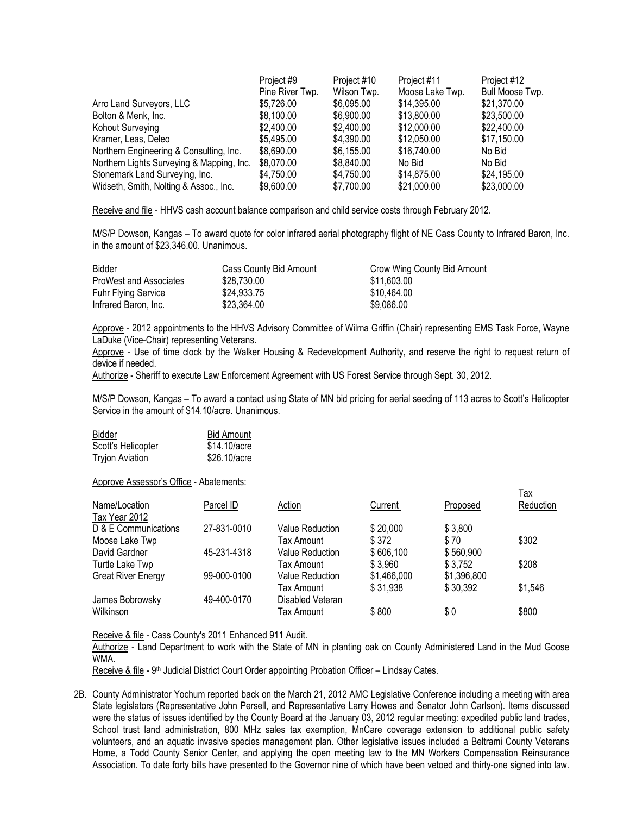|                                           | Project #9      | Project #10 | Project #11     | Project #12            |
|-------------------------------------------|-----------------|-------------|-----------------|------------------------|
|                                           | Pine River Twp. | Wilson Twp. | Moose Lake Twp. | <b>Bull Moose Twp.</b> |
| Arro Land Surveyors, LLC                  | \$5,726.00      | \$6,095.00  | \$14,395.00     | \$21,370.00            |
| Bolton & Menk, Inc.                       | \$8,100.00      | \$6,900.00  | \$13,800.00     | \$23,500.00            |
| Kohout Surveying                          | \$2,400.00      | \$2,400.00  | \$12,000.00     | \$22,400.00            |
| Kramer, Leas, Deleo                       | \$5,495.00      | \$4,390.00  | \$12,050.00     | \$17,150.00            |
| Northern Engineering & Consulting, Inc.   | \$8,690.00      | \$6,155.00  | \$16,740.00     | No Bid                 |
| Northern Lights Surveying & Mapping, Inc. | \$8,070.00      | \$8,840.00  | No Bid          | No Bid                 |
| Stonemark Land Surveying, Inc.            | \$4,750.00      | \$4,750.00  | \$14,875.00     | \$24,195.00            |
| Widseth, Smith, Nolting & Assoc., Inc.    | \$9,600.00      | \$7,700.00  | \$21,000.00     | \$23,000.00            |

Receive and file - HHVS cash account balance comparison and child service costs through February 2012.

M/S/P Dowson, Kangas – To award quote for color infrared aerial photography flight of NE Cass County to Infrared Baron, Inc. in the amount of \$23,346.00. Unanimous.

| <b>Bidder</b>                 | Cass County Bid Amount | Crow Wing County Bid Amount |
|-------------------------------|------------------------|-----------------------------|
| <b>ProWest and Associates</b> | \$28,730,00            | \$11,603.00                 |
| <b>Fuhr Flying Service</b>    | \$24,933,75            | \$10.464.00                 |
| Infrared Baron, Inc.          | \$23,364,00            | \$9,086,00                  |

Approve - 2012 appointments to the HHVS Advisory Committee of Wilma Griffin (Chair) representing EMS Task Force, Wayne LaDuke (Vice-Chair) representing Veterans.

Approve - Use of time clock by the Walker Housing & Redevelopment Authority, and reserve the right to request return of device if needed.

Authorize - Sheriff to execute Law Enforcement Agreement with US Forest Service through Sept. 30, 2012.

M/S/P Dowson, Kangas – To award a contact using State of MN bid pricing for aerial seeding of 113 acres to Scott's Helicopter Service in the amount of \$14.10/acre. Unanimous.

| <b>Bidder</b>          | <b>Bid Amount</b> |
|------------------------|-------------------|
| Scott's Helicopter     | \$14.10/acre      |
| <b>Tryjon Aviation</b> | \$26.10/acre      |

Approve Assessor's Office - Abatements:

|                                |             |                  |             |             | Тах       |
|--------------------------------|-------------|------------------|-------------|-------------|-----------|
| Name/Location<br>Tax Year 2012 | Parcel ID   | Action           | Current     | Proposed    | Reduction |
| D & E Communications           | 27-831-0010 | Value Reduction  | \$20,000    | \$3,800     |           |
| Moose Lake Twp                 |             | Tax Amount       | \$372       | \$70        | \$302     |
| David Gardner                  | 45-231-4318 | Value Reduction  | \$606,100   | \$560,900   |           |
| Turtle Lake Twp                |             | Tax Amount       | \$3,960     | \$3,752     | \$208     |
| <b>Great River Energy</b>      | 99-000-0100 | Value Reduction  | \$1,466,000 | \$1,396,800 |           |
|                                |             | Tax Amount       | \$31,938    | \$30,392    | \$1,546   |
| James Bobrowsky                | 49-400-0170 | Disabled Veteran |             |             |           |
| Wilkinson                      |             | Tax Amount       | \$800       | \$0         | \$800     |

Receive & file - Cass County's 2011 Enhanced 911 Audit.

Authorize - Land Department to work with the State of MN in planting oak on County Administered Land in the Mud Goose WMA.

Receive & file - 9<sup>th</sup> Judicial District Court Order appointing Probation Officer – Lindsay Cates.

2B. County Administrator Yochum reported back on the March 21, 2012 AMC Legislative Conference including a meeting with area State legislators (Representative John Persell, and Representative Larry Howes and Senator John Carlson). Items discussed were the status of issues identified by the County Board at the January 03, 2012 regular meeting: expedited public land trades, School trust land administration, 800 MHz sales tax exemption, MnCare coverage extension to additional public safety volunteers, and an aquatic invasive species management plan. Other legislative issues included a Beltrami County Veterans Home, a Todd County Senior Center, and applying the open meeting law to the MN Workers Compensation Reinsurance Association. To date forty bills have presented to the Governor nine of which have been vetoed and thirty-one signed into law.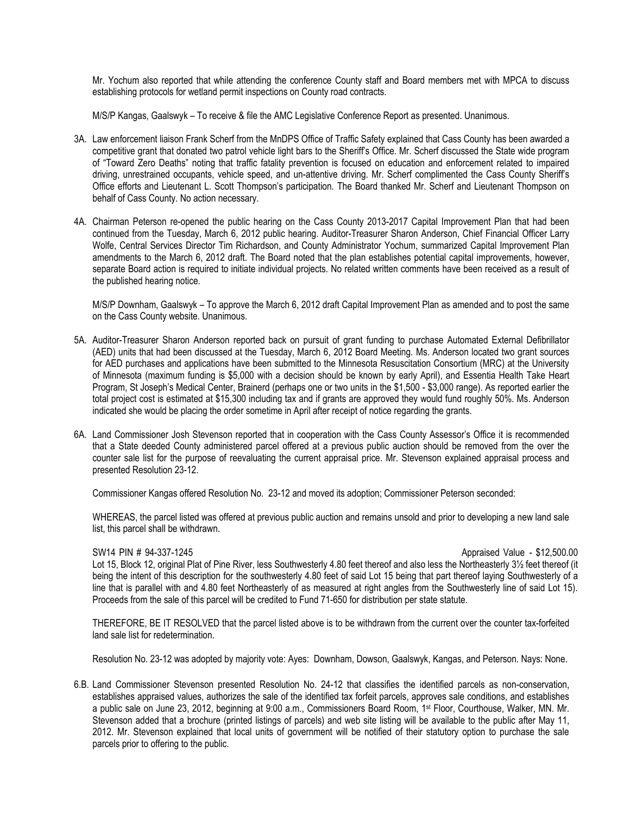Mr. Yochum also reported that while attending the conference County staff and Board members met with MPCA to discuss establishing protocols for wetland permit inspections on County road contracts.

M/S/P Kangas, Gaalswyk – To receive & file the AMC Legislative Conference Report as presented. Unanimous.

- 3A. Law enforcement liaison Frank Scherf from the MnDPS Office of Traffic Safety explained that Cass County has been awarded a competitive grant that donated two patrol vehicle light bars to the Sheriff's Office. Mr. Scherf discussed the State wide program of "Toward Zero Deaths" noting that traffic fatality prevention is focused on education and enforcement related to impaired driving, unrestrained occupants, vehicle speed, and un-attentive driving. Mr. Scherf complimented the Cass County Sheriff's Office efforts and Lieutenant L. Scott Thompson's participation. The Board thanked Mr. Scherf and Lieutenant Thompson on behalf of Cass County. No action necessary.
- 4A. Chairman Peterson re-opened the public hearing on the Cass County 2013-2017 Capital Improvement Plan that had been continued from the Tuesday, March 6, 2012 public hearing. Auditor-Treasurer Sharon Anderson, Chief Financial Officer Larry Wolfe, Central Services Director Tim Richardson, and County Administrator Yochum, summarized Capital Improvement Plan amendments to the March 6, 2012 draft. The Board noted that the plan establishes potential capital improvements, however, separate Board action is required to initiate individual projects. No related written comments have been received as a result of the published hearing notice.

M/S/P Downham, Gaalswyk – To approve the March 6, 2012 draft Capital Improvement Plan as amended and to post the same on the Cass County website. Unanimous.

- 5A. Auditor-Treasurer Sharon Anderson reported back on pursuit of grant funding to purchase Automated External Defibrillator (AED) units that had been discussed at the Tuesday, March 6, 2012 Board Meeting. Ms. Anderson located two grant sources for AED purchases and applications have been submitted to the Minnesota Resuscitation Consortium (MRC) at the University of Minnesota (maximum funding is \$5,000 with a decision should be known by early April), and Essentia Health Take Heart Program, St Joseph's Medical Center, Brainerd (perhaps one or two units in the \$1,500 - \$3,000 range). As reported earlier the total project cost is estimated at \$15,300 including tax and if grants are approved they would fund roughly 50%. Ms. Anderson indicated she would be placing the order sometime in April after receipt of notice regarding the grants.
- 6A. Land Commissioner Josh Stevenson reported that in cooperation with the Cass County Assessor's Office it is recommended that a State deeded County administered parcel offered at a previous public auction should be removed from the over the counter sale list for the purpose of reevaluating the current appraisal price. Mr. Stevenson explained appraisal process and presented Resolution 23-12.

Commissioner Kangas offered Resolution No. 23-12 and moved its adoption; Commissioner Peterson seconded:

WHEREAS, the parcel listed was offered at previous public auction and remains unsold and prior to developing a new land sale list, this parcel shall be withdrawn.

### SW14 PIN # 94-337-1245 Appraised Value - \$12,500.00

Lot 15, Block 12, original Plat of Pine River, less Southwesterly 4.80 feet thereof and also less the Northeasterly 3½ feet thereof (it being the intent of this description for the southwesterly 4.80 feet of said Lot 15 being that part thereof laying Southwesterly of a line that is parallel with and 4.80 feet Northeasterly of as measured at right angles from the Southwesterly line of said Lot 15). Proceeds from the sale of this parcel will be credited to Fund 71-650 for distribution per state statute.

THEREFORE, BE IT RESOLVED that the parcel listed above is to be withdrawn from the current over the counter tax-forfeited land sale list for redetermination.

Resolution No. 23-12 was adopted by majority vote: Ayes: Downham, Dowson, Gaalswyk, Kangas, and Peterson. Nays: None.

6.B. Land Commissioner Stevenson presented Resolution No. 24-12 that classifies the identified parcels as non-conservation, establishes appraised values, authorizes the sale of the identified tax forfeit parcels, approves sale conditions, and establishes a public sale on June 23, 2012, beginning at 9:00 a.m., Commissioners Board Room, 1st Floor, Courthouse, Walker, MN. Mr. Stevenson added that a brochure (printed listings of parcels) and web site listing will be available to the public after May 11, 2012. Mr. Stevenson explained that local units of government will be notified of their statutory option to purchase the sale parcels prior to offering to the public.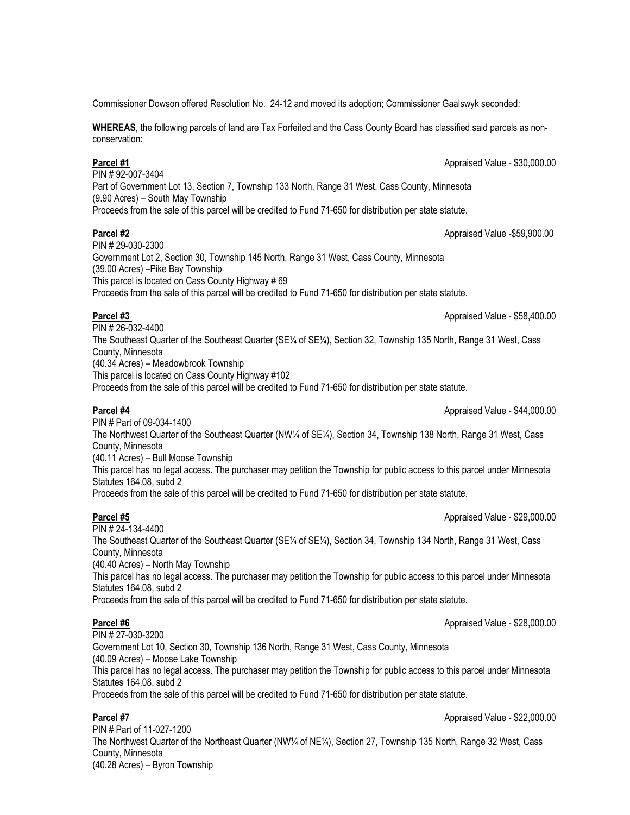Commissioner Dowson offered Resolution No. 24-12 and moved its adoption; Commissioner Gaalswyk seconded:

**WHEREAS**, the following parcels of land are Tax Forfeited and the Cass County Board has classified said parcels as nonconservation:

PIN # 92-007-3404

**Parcel #1** Appraised Value - \$30,000.00

Part of Government Lot 13, Section 7, Township 133 North, Range 31 West, Cass County, Minnesota (9.90 Acres) – South May Township

Proceeds from the sale of this parcel will be credited to Fund 71-650 for distribution per state statute.

### **Parcel #2** Appraised Value -\$59,900.00

PIN # 29-030-2300 Government Lot 2, Section 30, Township 145 North, Range 31 West, Cass County, Minnesota (39.00 Acres) –Pike Bay Township This parcel is located on Cass County Highway # 69 Proceeds from the sale of this parcel will be credited to Fund 71-650 for distribution per state statute.

# **Parcel #3 Parcel #3 Appraised Value - \$58,400.00**

PIN # 26-032-4400 The Southeast Quarter of the Southeast Quarter (SE¼ of SE¼), Section 32, Township 135 North, Range 31 West, Cass County, Minnesota (40.34 Acres) – Meadowbrook Township This parcel is located on Cass County Highway #102

Proceeds from the sale of this parcel will be credited to Fund 71-650 for distribution per state statute.

PIN # Part of 09-034-1400

**Parcel #4** Appraised Value - \$44,000.00

The Northwest Quarter of the Southeast Quarter (NW¼ of SE¼), Section 34, Township 138 North, Range 31 West, Cass County, Minnesota

(40.11 Acres) – Bull Moose Township

This parcel has no legal access. The purchaser may petition the Township for public access to this parcel under Minnesota Statutes 164.08, subd 2

Proceeds from the sale of this parcel will be credited to Fund 71-650 for distribution per state statute.

**Parcel #5** Appraised Value - \$29,000.00

PIN # 24-134-4400 The Southeast Quarter of the Southeast Quarter (SE¼ of SE¼), Section 34, Township 134 North, Range 31 West, Cass County, Minnesota (40.40 Acres) – North May Township This parcel has no legal access. The purchaser may petition the Township for public access to this parcel under Minnesota Statutes 164.08, subd 2 Proceeds from the sale of this parcel will be credited to Fund 71-650 for distribution per state statute.

**Parcel #6** Appraised Value - \$28,000.00

PIN # 27-030-3200 Government Lot 10, Section 30, Township 136 North, Range 31 West, Cass County, Minnesota (40.09 Acres) – Moose Lake Township This parcel has no legal access. The purchaser may petition the Township for public access to this parcel under Minnesota Statutes 164.08, subd 2 Proceeds from the sale of this parcel will be credited to Fund 71-650 for distribution per state statute.

# **Parcel #7** Appraised Value - \$22,000.00

PIN # Part of 11-027-1200 The Northwest Quarter of the Northeast Quarter (NW¼ of NE¼), Section 27, Township 135 North, Range 32 West, Cass County, Minnesota (40.28 Acres) – Byron Township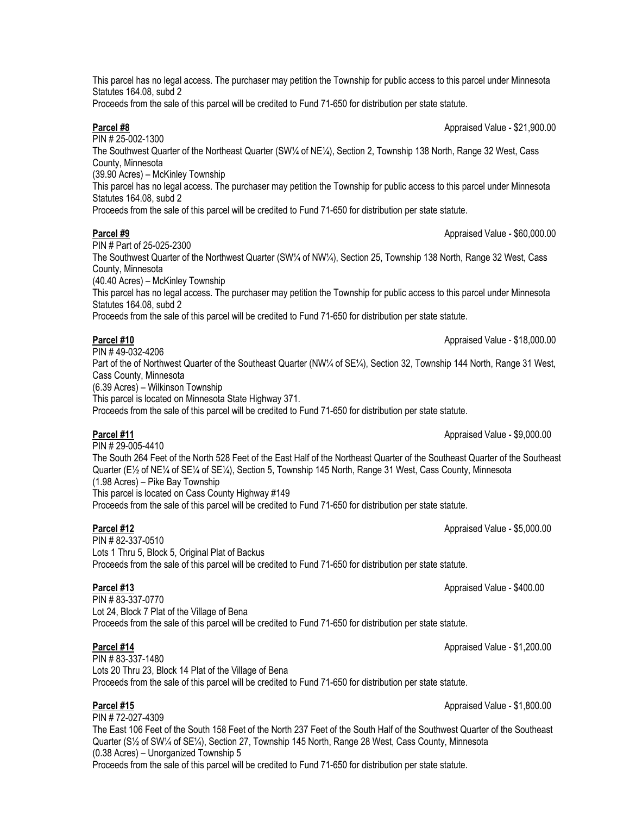This parcel has no legal access. The purchaser may petition the Township for public access to this parcel under Minnesota Statutes 164.08, subd 2

Proceeds from the sale of this parcel will be credited to Fund 71-650 for distribution per state statute.

**Parcel #8** Appraised Value - \$21,900.00

PIN # 25-002-1300 The Southwest Quarter of the Northeast Quarter (SW¼ of NE¼), Section 2, Township 138 North, Range 32 West, Cass County, Minnesota (39.90 Acres) – McKinley Township This parcel has no legal access. The purchaser may petition the Township for public access to this parcel under Minnesota Statutes 164.08, subd 2 Proceeds from the sale of this parcel will be credited to Fund 71-650 for distribution per state statute.

### **Parcel #9** Appraised Value - \$60,000.00

PIN # Part of 25-025-2300 The Southwest Quarter of the Northwest Quarter (SW¼ of NW¼), Section 25, Township 138 North, Range 32 West, Cass County, Minnesota (40.40 Acres) – McKinley Township This parcel has no legal access. The purchaser may petition the Township for public access to this parcel under Minnesota Statutes 164.08, subd 2 Proceeds from the sale of this parcel will be credited to Fund 71-650 for distribution per state statute.

# **Parcel #10** Appraised Value - \$18,000.00

 $\overline{PIN\#49-032-4206}$ Part of the of Northwest Quarter of the Southeast Quarter (NW¼ of SE¼), Section 32, Township 144 North, Range 31 West, Cass County, Minnesota (6.39 Acres) – Wilkinson Township This parcel is located on Minnesota State Highway 371.

Proceeds from the sale of this parcel will be credited to Fund 71-650 for distribution per state statute.

PIN # 29-005-4410 The South 264 Feet of the North 528 Feet of the East Half of the Northeast Quarter of the Southeast Quarter of the Southeast Quarter (E½ of NE¼ of SE¼ of SE¼), Section 5, Township 145 North, Range 31 West, Cass County, Minnesota (1.98 Acres) – Pike Bay Township This parcel is located on Cass County Highway #149 Proceeds from the sale of this parcel will be credited to Fund 71-650 for distribution per state statute.

PIN # 82-337-0510 Lots 1 Thru 5, Block 5, Original Plat of Backus Proceeds from the sale of this parcel will be credited to Fund 71-650 for distribution per state statute.

PIN # 83-337-0770 Lot 24, Block 7 Plat of the Village of Bena Proceeds from the sale of this parcel will be credited to Fund 71-650 for distribution per state statute.

PIN # 83-337-1480 Lots 20 Thru 23, Block 14 Plat of the Village of Bena Proceeds from the sale of this parcel will be credited to Fund 71-650 for distribution per state statute.

PIN # 72-027-4309 The East 106 Feet of the South 158 Feet of the North 237 Feet of the South Half of the Southwest Quarter of the Southeast Quarter (S½ of SW¼ of SE¼), Section 27, Township 145 North, Range 28 West, Cass County, Minnesota (0.38 Acres) – Unorganized Township 5 Proceeds from the sale of this parcel will be credited to Fund 71-650 for distribution per state statute.

**Parcel #11** Appraised Value - \$9,000.00

**Parcel #12** Appraised Value - \$5,000.00

**Parcel #13** Appraised Value - \$400.00

**Parcel #14** Approximated Value - \$1,200.00

**Parcel #15** Appraised Value - \$1,800.00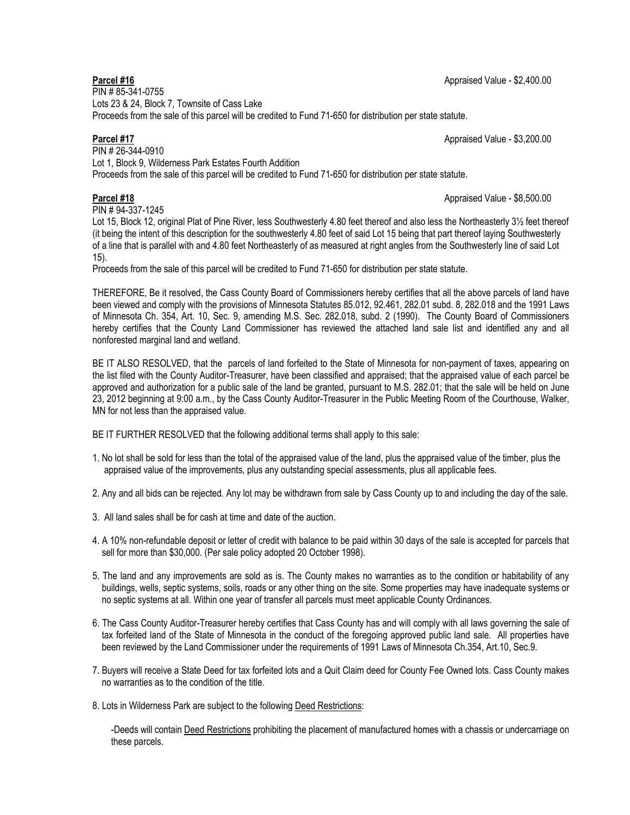PIN # 85-341-0755 Lots 23 & 24, Block 7, Townsite of Cass Lake Proceeds from the sale of this parcel will be credited to Fund 71-650 for distribution per state statute.

## **Parcel #17** Appraised Value - \$3,200.00

PIN # 26-344-0910 Lot 1, Block 9, Wilderness Park Estates Fourth Addition Proceeds from the sale of this parcel will be credited to Fund 71-650 for distribution per state statute.

# **Parcel #18** Appraised Value - \$8,500.00

PIN # 94-337-1245

Lot 15, Block 12, original Plat of Pine River, less Southwesterly 4.80 feet thereof and also less the Northeasterly 3½ feet thereof (it being the intent of this description for the southwesterly 4.80 feet of said Lot 15 being that part thereof laying Southwesterly of a line that is parallel with and 4.80 feet Northeasterly of as measured at right angles from the Southwesterly line of said Lot 15).

Proceeds from the sale of this parcel will be credited to Fund 71-650 for distribution per state statute.

THEREFORE, Be it resolved, the Cass County Board of Commissioners hereby certifies that all the above parcels of land have been viewed and comply with the provisions of Minnesota Statutes 85.012, 92.461, 282.01 subd. 8, 282.018 and the 1991 Laws of Minnesota Ch. 354, Art. 10, Sec. 9, amending M.S. Sec. 282.018, subd. 2 (1990). The County Board of Commissioners hereby certifies that the County Land Commissioner has reviewed the attached land sale list and identified any and all nonforested marginal land and wetland.

BE IT ALSO RESOLVED, that the parcels of land forfeited to the State of Minnesota for non-payment of taxes, appearing on the list filed with the County Auditor-Treasurer, have been classified and appraised; that the appraised value of each parcel be approved and authorization for a public sale of the land be granted, pursuant to M.S. 282.01; that the sale will be held on June 23, 2012 beginning at 9:00 a.m., by the Cass County Auditor-Treasurer in the Public Meeting Room of the Courthouse, Walker, MN for not less than the appraised value.

BE IT FURTHER RESOLVED that the following additional terms shall apply to this sale:

1. No lot shall be sold for less than the total of the appraised value of the land, plus the appraised value of the timber, plus the appraised value of the improvements, plus any outstanding special assessments, plus all applicable fees.

2. Any and all bids can be rejected. Any lot may be withdrawn from sale by Cass County up to and including the day of the sale.

- 3. All land sales shall be for cash at time and date of the auction.
- 4. A 10% non-refundable deposit or letter of credit with balance to be paid within 30 days of the sale is accepted for parcels that sell for more than \$30,000. (Per sale policy adopted 20 October 1998).
- 5. The land and any improvements are sold as is. The County makes no warranties as to the condition or habitability of any buildings, wells, septic systems, soils, roads or any other thing on the site. Some properties may have inadequate systems or no septic systems at all. Within one year of transfer all parcels must meet applicable County Ordinances.
- 6. The Cass County Auditor-Treasurer hereby certifies that Cass County has and will comply with all laws governing the sale of tax forfeited land of the State of Minnesota in the conduct of the foregoing approved public land sale. All properties have been reviewed by the Land Commissioner under the requirements of 1991 Laws of Minnesota Ch.354, Art.10, Sec.9.
- 7. Buyers will receive a State Deed for tax forfeited lots and a Quit Claim deed for County Fee Owned lots. Cass County makes no warranties as to the condition of the title.
- 8. Lots in Wilderness Park are subject to the following Deed Restrictions:

-Deeds will contain Deed Restrictions prohibiting the placement of manufactured homes with a chassis or undercarriage on these parcels.

## **Parcel #16** Appraised Value - \$2,400.00